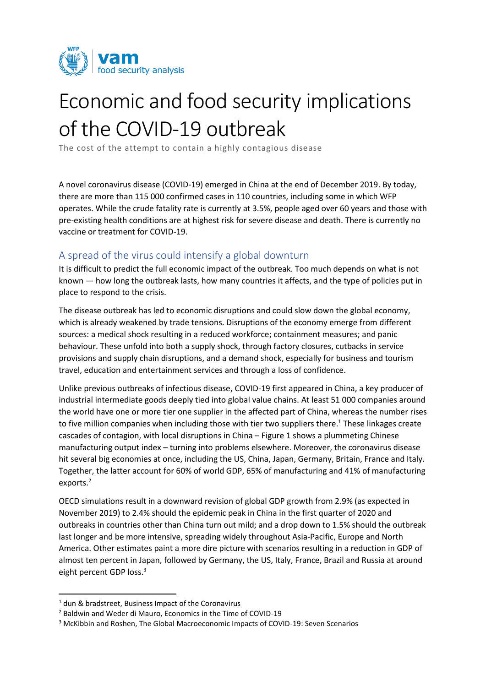

# Economic and food security implications of the COVID-19 outbreak

The cost of the attempt to contain a highly contagious disease

A novel coronavirus disease (COVID-19) emerged in China at the end of December 2019. By today, there are more than 115 000 confirmed cases in 110 countries, including some in which WFP operates. While the crude fatality rate is currently at 3.5%, people aged over 60 years and those with pre-existing health conditions are at highest risk for severe disease and death. There is currently no vaccine or treatment for COVID-19.

## A spread of the virus could intensify a global downturn

It is difficult to predict the full economic impact of the outbreak. Too much depends on what is not known — how long the outbreak lasts, how many countries it affects, and the type of policies put in place to respond to the crisis.

The disease outbreak has led to economic disruptions and could slow down the global economy, which is already weakened by trade tensions. Disruptions of the economy emerge from different sources: a medical shock resulting in a reduced workforce; containment measures; and panic behaviour. These unfold into both a supply shock, through factory closures, cutbacks in service provisions and supply chain disruptions, and a demand shock, especially for business and tourism travel, education and entertainment services and through a loss of confidence.

Unlike previous outbreaks of infectious disease, COVID-19 first appeared in China, a key producer of industrial intermediate goods deeply tied into global value chains. At least 51 000 companies around the world have one or more tier one supplier in the affected part of China, whereas the number rises to five million companies when including those with tier two suppliers there.<sup>1</sup> These linkages create cascades of contagion, with local disruptions in China – [Figure 1](#page-1-0) shows a plummeting Chinese manufacturing output index – turning into problems elsewhere. Moreover, the coronavirus disease hit several big economies at once, including the US, China, Japan, Germany, Britain, France and Italy. Together, the latter account for 60% of world GDP, 65% of manufacturing and 41% of manufacturing exports.<sup>2</sup>

OECD simulations result in a downward revision of global GDP growth from 2.9% (as expected in November 2019) to 2.4% should the epidemic peak in China in the first quarter of 2020 and outbreaks in countries other than China turn out mild; and a drop down to 1.5% should the outbreak last longer and be more intensive, spreading widely throughout Asia-Pacific, Europe and North America. Other estimates paint a more dire picture with scenarios resulting in a reduction in GDP of almost ten percent in Japan, followed by Germany, the US, Italy, France, Brazil and Russia at around eight percent GDP loss. 3

<sup>1</sup> dun & bradstreet, Business Impact of the Coronavirus

<sup>2</sup> Baldwin and Weder di Mauro, Economics in the Time of COVID-19

<sup>3</sup> McKibbin and Roshen, The Global Macroeconomic Impacts of COVID-19: Seven Scenarios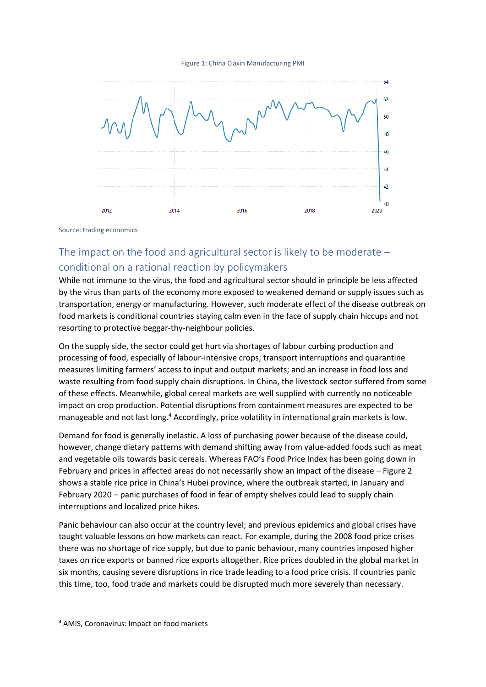#### Figure 1: China Ciaxin Manufacturing PMI

<span id="page-1-0"></span>

Source: trading economics

# The impact on the food and agricultural sector is likely to be moderate – conditional on a rational reaction by policymakers

While not immune to the virus, the food and agricultural sector should in principle be less affected by the virus than parts of the economy more exposed to weakened demand or supply issues such as transportation, energy or manufacturing. However, such moderate effect of the disease outbreak on food markets is conditional countries staying calm even in the face of supply chain hiccups and not resorting to protective beggar-thy-neighbour policies.

On the supply side, the sector could get hurt via shortages of labour curbing production and processing of food, especially of labour-intensive crops; transport interruptions and quarantine measures limiting farmers' access to input and output markets; and an increase in food loss and waste resulting from food supply chain disruptions. In China, the livestock sector suffered from some of these effects. Meanwhile, global cereal markets are well supplied with currently no noticeable impact on crop production. Potential disruptions from containment measures are expected to be manageable and not last long.<sup>4</sup> Accordingly, price volatility in international grain markets is low.

Demand for food is generally inelastic. A loss of purchasing power because of the disease could, however, change dietary patterns with demand shifting away from value-added foods such as meat and vegetable oils towards basic cereals. Whereas FAO's Food Price Index has been going down in February and prices in affected areas do not necessarily show an impact of the disease – [Figure 2](#page-2-0) shows a stable rice price in China's Hubei province, where the outbreak started, in January and February 2020 – panic purchases of food in fear of empty shelves could lead to supply chain interruptions and localized price hikes.

Panic behaviour can also occur at the country level; and previous epidemics and global crises have taught valuable lessons on how markets can react. For example, during the 2008 food price crises there was no shortage of rice supply, but due to panic behaviour, many countries imposed higher taxes on rice exports or banned rice exports altogether. Rice prices doubled in the global market in six months, causing severe disruptions in rice trade leading to a food price crisis. If countries panic this time, too, food trade and markets could be disrupted much more severely than necessary.

<sup>4</sup> AMIS, Coronavirus: Impact on food markets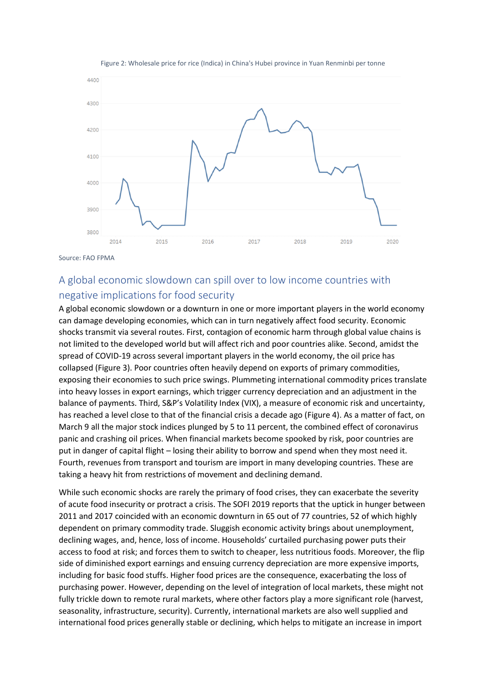<span id="page-2-0"></span>

Figure 2: Wholesale price for rice (Indica) in China's Hubei province in Yuan Renminbi per tonne

Source: FAO FPMA

# A global economic slowdown can spill over to low income countries with negative implications for food security

A global economic slowdown or a downturn in one or more important players in the world economy can damage developing economies, which can in turn negatively affect food security. Economic shocks transmit via several routes. First, contagion of economic harm through global value chains is not limited to the developed world but will affect rich and poor countries alike. Second, amidst the spread of COVID-19 across several important players in the world economy, the oil price has collapsed [\(Figure 3\)](#page-3-0). Poor countries often heavily depend on exports of primary commodities, exposing their economies to such price swings. Plummeting international commodity prices translate into heavy losses in export earnings, which trigger currency depreciation and an adjustment in the balance of payments. Third, S&P's Volatility Index (VIX), a measure of economic risk and uncertainty, has reached a level close to that of the financial crisis a decade ago [\(Figure 4\)](#page-3-1). As a matter of fact, on March 9 all the major stock indices plunged by 5 to 11 percent, the combined effect of coronavirus panic and crashing oil prices. When financial markets become spooked by risk, poor countries are put in danger of capital flight – losing their ability to borrow and spend when they most need it. Fourth, revenues from transport and tourism are import in many developing countries. These are taking a heavy hit from restrictions of movement and declining demand.

While such economic shocks are rarely the primary of food crises, they can exacerbate the severity of acute food insecurity or protract a crisis. The SOFI 2019 reports that the uptick in hunger between 2011 and 2017 coincided with an economic downturn in 65 out of 77 countries, 52 of which highly dependent on primary commodity trade. Sluggish economic activity brings about unemployment, declining wages, and, hence, loss of income. Households' curtailed purchasing power puts their access to food at risk; and forces them to switch to cheaper, less nutritious foods. Moreover, the flip side of diminished export earnings and ensuing currency depreciation are more expensive imports, including for basic food stuffs. Higher food prices are the consequence, exacerbating the loss of purchasing power. However, depending on the level of integration of local markets, these might not fully trickle down to remote rural markets, where other factors play a more significant role (harvest, seasonality, infrastructure, security). Currently, international markets are also well supplied and international food prices generally stable or declining, which helps to mitigate an increase in import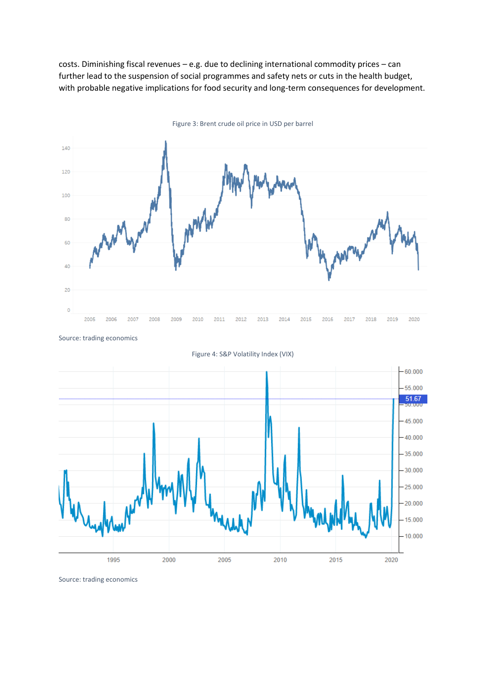costs. Diminishing fiscal revenues – e.g. due to declining international commodity prices – can further lead to the suspension of social programmes and safety nets or cuts in the health budget, with probable negative implications for food security and long-term consequences for development.

<span id="page-3-0"></span>

Figure 3: Brent crude oil price in USD per barrel





<span id="page-3-1"></span>

Source: trading economics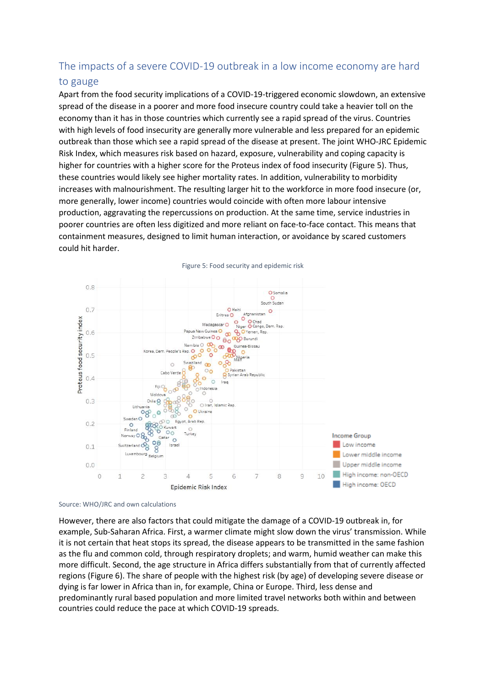# The impacts of a severe COVID-19 outbreak in a low income economy are hard

## to gauge

Apart from the food security implications of a COVID-19-triggered economic slowdown, an extensive spread of the disease in a poorer and more food insecure country could take a heavier toll on the economy than it has in those countries which currently see a rapid spread of the virus. Countries with high levels of food insecurity are generally more vulnerable and less prepared for an epidemic outbreak than those which see a rapid spread of the disease at present. The joint WHO-JRC Epidemic Risk Index, which measures risk based on hazard, exposure, vulnerability and coping capacity is higher for countries with a higher score for the Proteus index of food insecurity [\(Figure 5\)](#page-4-0). Thus, these countries would likely see higher mortality rates. In addition, vulnerability to morbidity increases with malnourishment. The resulting larger hit to the workforce in more food insecure (or, more generally, lower income) countries would coincide with often more labour intensive production, aggravating the repercussions on production. At the same time, service industries in poorer countries are often less digitized and more reliant on face-to-face contact. This means that containment measures, designed to limit human interaction, or avoidance by scared customers could hit harder.

<span id="page-4-0"></span>

#### Figure 5: Food security and epidemic risk

However, there are also factors that could mitigate the damage of a COVID-19 outbreak in, for example, Sub-Saharan Africa. First, a warmer climate might slow down the virus' transmission. While it is not certain that heat stops its spread, the disease appears to be transmitted in the same fashion as the flu and common cold, through respiratory droplets; and warm, humid weather can make this more difficult. Second, the age structure in Africa differs substantially from that of currently affected regions [\(Figure 6\)](#page-5-0). The share of people with the highest risk (by age) of developing severe disease or dying is far lower in Africa than in, for example, China or Europe. Third, less dense and predominantly rural based population and more limited travel networks both within and between countries could reduce the pace at which COVID-19 spreads.

Source: WHO/JRC and own calculations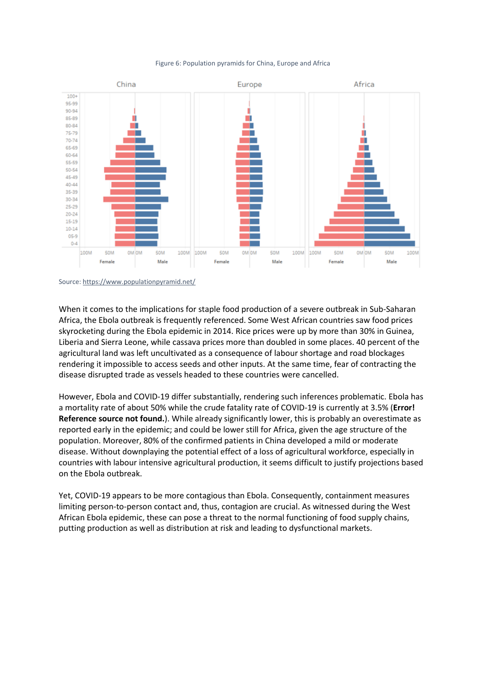#### Figure 6: Population pyramids for China, Europe and Africa

<span id="page-5-0"></span>



When it comes to the implications for staple food production of a severe outbreak in Sub-Saharan Africa, the Ebola outbreak is frequently referenced. Some West African countries saw food prices skyrocketing during the Ebola epidemic in 2014. Rice prices were up by more than 30% in Guinea, Liberia and Sierra Leone, while cassava prices more than doubled in some places. 40 percent of the agricultural land was left uncultivated as a consequence of labour shortage and road blockages rendering it impossible to access seeds and other inputs. At the same time, fear of contracting the disease disrupted trade as vessels headed to these countries were cancelled.

However, Ebola and COVID-19 differ substantially, rendering such inferences problematic. Ebola has a mortality rate of about 50% while the crude fatality rate of COVID-19 is currently at 3.5% (**Error! Reference source not found.**). While already significantly lower, this is probably an overestimate as reported early in the epidemic; and could be lower still for Africa, given the age structure of the population. Moreover, 80% of the confirmed patients in China developed a mild or moderate disease. Without downplaying the potential effect of a loss of agricultural workforce, especially in countries with labour intensive agricultural production, it seems difficult to justify projections based on the Ebola outbreak.

Yet, COVID-19 appears to be more contagious than Ebola. Consequently, containment measures limiting person-to-person contact and, thus, contagion are crucial. As witnessed during the West African Ebola epidemic, these can pose a threat to the normal functioning of food supply chains, putting production as well as distribution at risk and leading to dysfunctional markets.